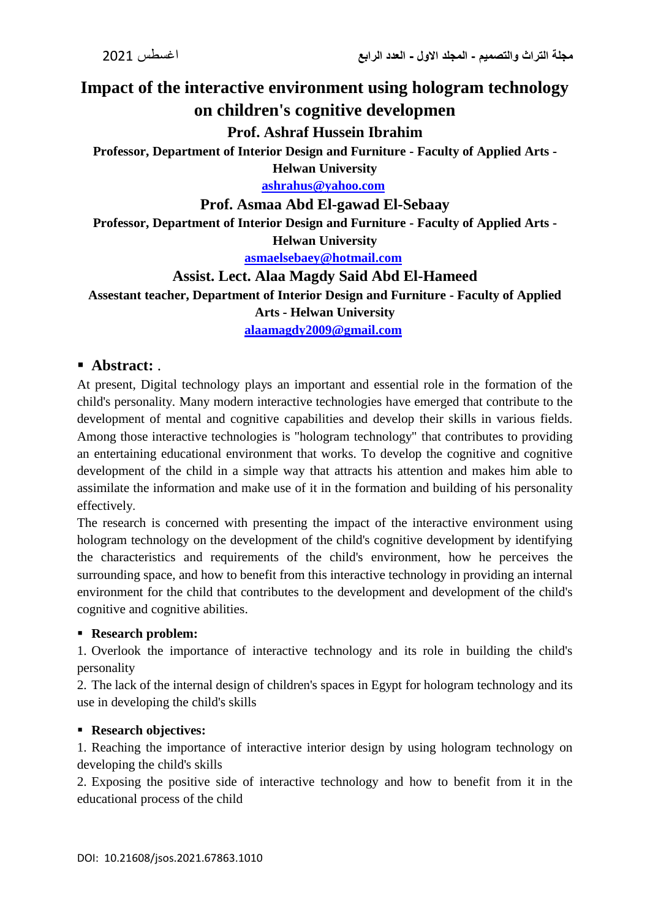# **Impact of the interactive environment using hologram technology on children's cognitive developmen**

## **Prof. Ashraf Hussein Ibrahim**

**Professor, Department of Interior Design and Furniture - Faculty of Applied Arts -**

**Helwan University [ashrahus@yahoo.com](mailto:ashrahus@yahoo.com)**

# **Prof. Asmaa Abd El-gawad El-Sebaay**

**Professor, Department of Interior Design and Furniture - Faculty of Applied Arts - Helwan University**

**[asmaelsebaey@hotmail.com](mailto:asmaelsebaey@hotmail.com)**

### **Assist. Lect. Alaa Magdy Said Abd El-Hameed**

**Assestant teacher, Department of Interior Design and Furniture - Faculty of Applied Arts - Helwan University [alaamagdy2009@gmail.com](mailto:alaamagdy2009@gmail.com)**

#### **Abstract:** .

At present, Digital technology plays an important and essential role in the formation of the child's personality. Many modern interactive technologies have emerged that contribute to the development of mental and cognitive capabilities and develop their skills in various fields. Among those interactive technologies is "hologram technology" that contributes to providing an entertaining educational environment that works. To develop the cognitive and cognitive development of the child in a simple way that attracts his attention and makes him able to assimilate the information and make use of it in the formation and building of his personality effectively.

The research is concerned with presenting the impact of the interactive environment using hologram technology on the development of the child's cognitive development by identifying the characteristics and requirements of the child's environment, how he perceives the surrounding space, and how to benefit from this interactive technology in providing an internal environment for the child that contributes to the development and development of the child's cognitive and cognitive abilities.

#### **Research problem:**

1. Overlook the importance of interactive technology and its role in building the child's personality

2. The lack of the internal design of children's spaces in Egypt for hologram technology and its use in developing the child's skills

#### **Research objectives:**

1. Reaching the importance of interactive interior design by using hologram technology on developing the child's skills

2. Exposing the positive side of interactive technology and how to benefit from it in the educational process of the child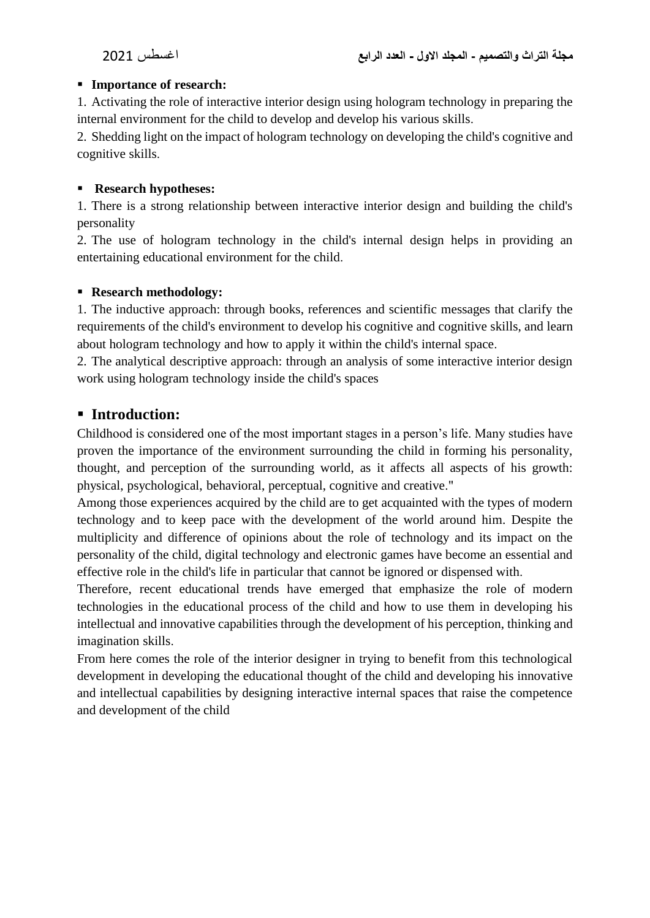### **Importance of research:**

1. Activating the role of interactive interior design using hologram technology in preparing the internal environment for the child to develop and develop his various skills.

2. Shedding light on the impact of hologram technology on developing the child's cognitive and cognitive skills.

#### **Research hypotheses:**

1. There is a strong relationship between interactive interior design and building the child's personality

2. The use of hologram technology in the child's internal design helps in providing an entertaining educational environment for the child.

#### **Research methodology:**

1. The inductive approach: through books, references and scientific messages that clarify the requirements of the child's environment to develop his cognitive and cognitive skills, and learn about hologram technology and how to apply it within the child's internal space.

2. The analytical descriptive approach: through an analysis of some interactive interior design work using hologram technology inside the child's spaces

## **Introduction:**

Childhood is considered one of the most important stages in a person's life. Many studies have proven the importance of the environment surrounding the child in forming his personality, thought, and perception of the surrounding world, as it affects all aspects of his growth: physical, psychological, behavioral, perceptual, cognitive and creative."

Among those experiences acquired by the child are to get acquainted with the types of modern technology and to keep pace with the development of the world around him. Despite the multiplicity and difference of opinions about the role of technology and its impact on the personality of the child, digital technology and electronic games have become an essential and effective role in the child's life in particular that cannot be ignored or dispensed with.

Therefore, recent educational trends have emerged that emphasize the role of modern technologies in the educational process of the child and how to use them in developing his intellectual and innovative capabilities through the development of his perception, thinking and imagination skills.

From here comes the role of the interior designer in trying to benefit from this technological development in developing the educational thought of the child and developing his innovative and intellectual capabilities by designing interactive internal spaces that raise the competence and development of the child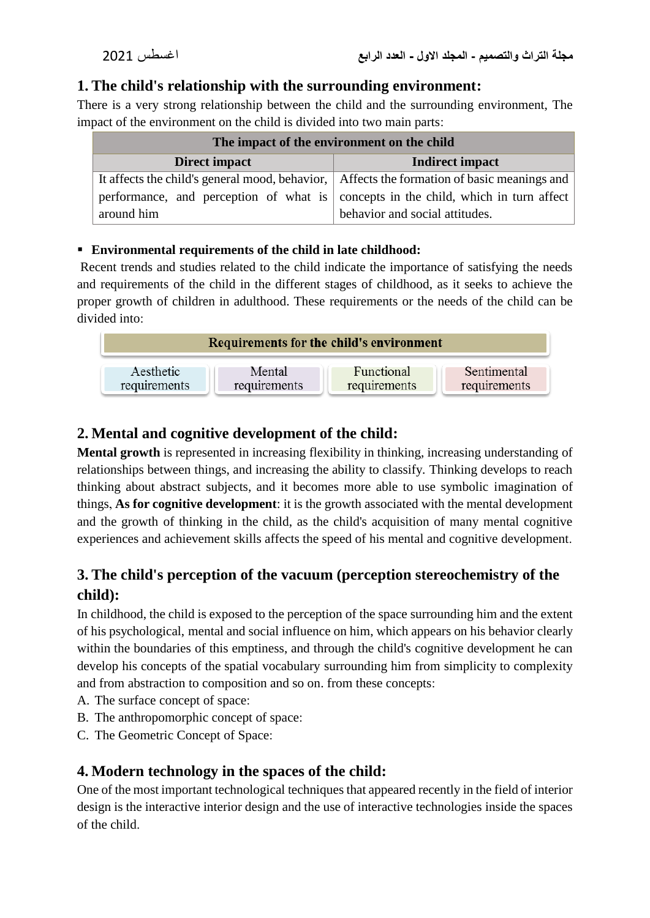## **1. The child's relationship with the surrounding environment:**

There is a very strong relationship between the child and the surrounding environment, The impact of the environment on the child is divided into two main parts:

| The impact of the environment on the child |                                                                                              |
|--------------------------------------------|----------------------------------------------------------------------------------------------|
| Direct impact                              | <b>Indirect impact</b>                                                                       |
|                                            | It affects the child's general mood, behavior,   Affects the formation of basic meanings and |
|                                            | performance, and perception of what is $\vert$ concepts in the child, which in turn affect   |
| around him                                 | behavior and social attitudes.                                                               |

### **Environmental requirements of the child in late childhood:**

Recent trends and studies related to the child indicate the importance of satisfying the needs and requirements of the child in the different stages of childhood, as it seeks to achieve the proper growth of children in adulthood. These requirements or the needs of the child can be divided into:



## **2. Mental and cognitive development of the child:**

**Mental growth** is represented in increasing flexibility in thinking, increasing understanding of relationships between things, and increasing the ability to classify. Thinking develops to reach thinking about abstract subjects, and it becomes more able to use symbolic imagination of things, **As for cognitive development**: it is the growth associated with the mental development and the growth of thinking in the child, as the child's acquisition of many mental cognitive experiences and achievement skills affects the speed of his mental and cognitive development.

# **3. The child's perception of the vacuum (perception stereochemistry of the child):**

In childhood, the child is exposed to the perception of the space surrounding him and the extent of his psychological, mental and social influence on him, which appears on his behavior clearly within the boundaries of this emptiness, and through the child's cognitive development he can develop his concepts of the spatial vocabulary surrounding him from simplicity to complexity and from abstraction to composition and so on. from these concepts:

- A. The surface concept of space:
- B. The anthropomorphic concept of space:
- C. The Geometric Concept of Space:

## **4. Modern technology in the spaces of the child:**

One of the most important technological techniques that appeared recently in the field of interior design is the interactive interior design and the use of interactive technologies inside the spaces of the child.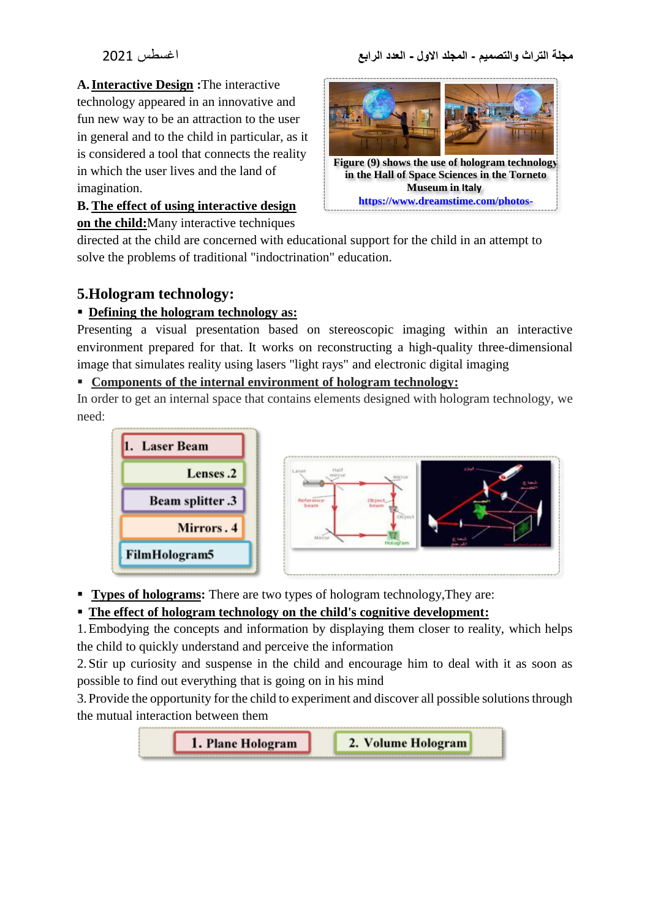**مجلة التراث والتصميم - المجلد االول - العدد الرابع** اغسطس 2021

**A.Interactive Design :**The interactive technology appeared in an innovative and fun new way to be an attraction to the user in general and to the child in particular, as it is considered a tool that connects the reality in which the user lives and the land of imagination.

#### **B. The effect of using interactive design on the child:**Many interactive techniques



**[https://www.dreamstime.com/photos](https://www.dreamstime.com/photos-images/interactive-globe.html)[images/interactive-globe.html](https://www.dreamstime.com/photos-images/interactive-globe.html)**

directed at the child are concerned with educational support for the child in an attempt to solve the problems of traditional "indoctrination" education.

## **5.Hologram technology:**

## **Defining the hologram technology as:**

Presenting a visual presentation based on stereoscopic imaging within an interactive environment prepared for that. It works on reconstructing a high-quality three-dimensional image that simulates reality using lasers "light rays" and electronic digital imaging

## **Components of the internal environment of hologram technology:**

In order to get an internal space that contains elements designed with hologram technology, we need:



**Types of holograms:** There are two types of hologram technology, They are:

## **The effect of hologram technology on the child's cognitive development:**

1.Embodying the concepts and information by displaying them closer to reality, which helps the child to quickly understand and perceive the information

2.Stir up curiosity and suspense in the child and encourage him to deal with it as soon as possible to find out everything that is going on in his mind

3.Provide the opportunity for the child to experiment and discover all possible solutions through the mutual interaction between them

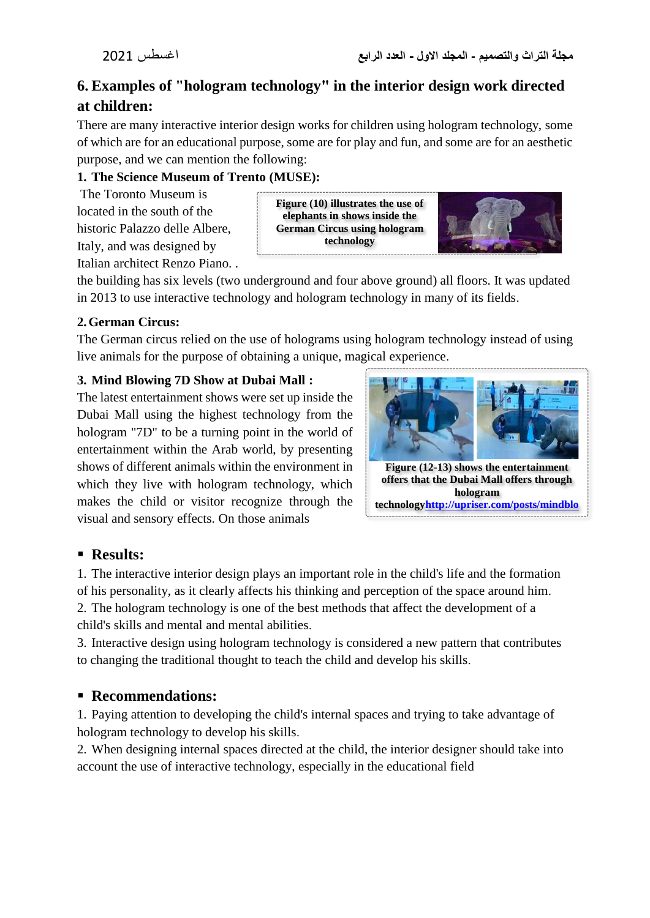# **6. Examples of "hologram technology" in the interior design work directed at children:**

There are many interactive interior design works for children using hologram technology, some of which are for an educational purpose, some are for play and fun, and some are for an aesthetic purpose, and we can mention the following:

## **1. The Science Museum of Trento (MUSE):**

The Toronto Museum is located in the south of the historic Palazzo delle Albere, Italy, and was designed by Italian architect Renzo Piano. .

**Figure (10) illustrates the use of elephants in shows inside the German Circus using hologram technology**



the building has six levels (two underground and four above ground) all floors. It was updated in 2013 to use interactive technology and hologram technology in many of its fields.

## **2.German Circus:**

The German circus relied on the use of holograms using hologram technology instead of using live animals for the purpose of obtaining a unique, magical experience.

## **3. Mind Blowing 7D Show at Dubai Mall :**

The latest entertainment shows were set up inside the Dubai Mall using the highest technology from the hologram "7D" to be a turning point in the world of entertainment within the Arab world, by presenting shows of different animals within the environment in which they live with hologram technology, which makes the child or visitor recognize through the visual and sensory effects. On those animals



**[wing-7d-show-at-dubai-mall](http://upriser.com/posts/mindblowing-7d-show-at-dubai-mall)**

### **Results:**

1. The interactive interior design pl[ays an important role in the child's life and the form](https://www.dreamstime.com/photos-images/interactive-globe.html)ation of his personality, as it clearly affe[cts his thinking and perception of the space around h](https://www.dreamstime.com/photos-images/interactive-globe.html)im. 2. The hologram technology is one of the best methods that affect the development of a child's skills and mental and mental abilities.

3. Interactive design using hologram technology is considered a new pattern that contributes to changing the traditional thought to teach the child and develop his skills.

## **Recommendations:**

1. Paying attention to developing the child's internal spaces and trying to take advantage of hologram technology to develop his skills.

2. When designing internal spaces directed at the child, the interior designer should take into account the use of interactive technology, especially in the educational field